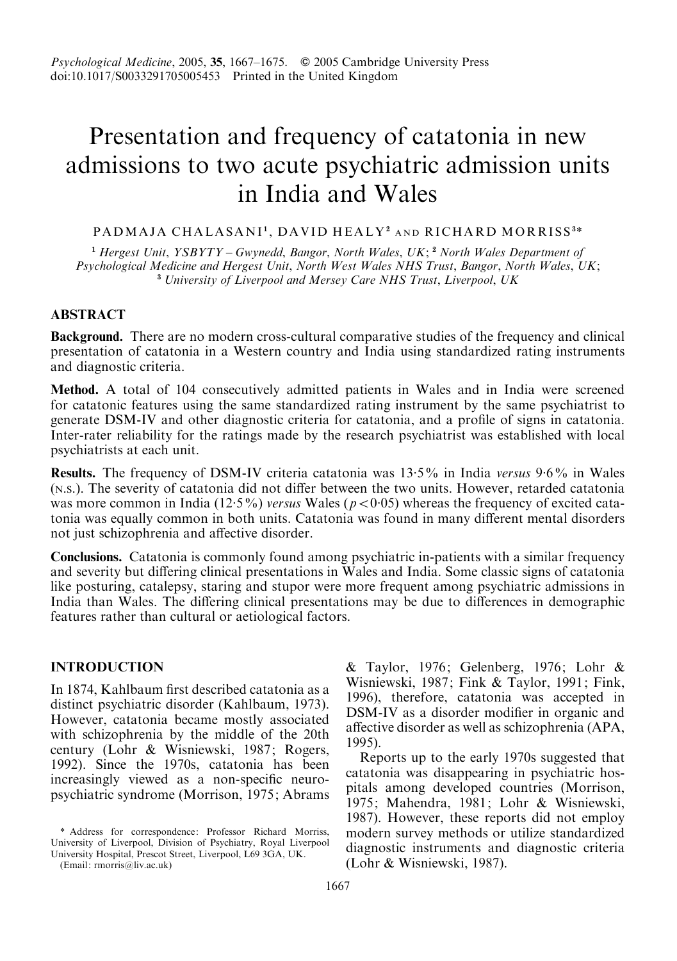# Presentation and frequency of catatonia in new admissions to two acute psychiatric admission units in India and Wales

#### PADMAJA CHALASANI<sup>1</sup>, DAVID HEALY<sup>2</sup> and RICHARD MORRISS<sup>3\*</sup>

<sup>1</sup> Hergest Unit,  $YSBYTY - Gwynedd, Bangor, North Wales, UK; <sup>2</sup> North Wales Department of$ Psychological Medicine and Hergest Unit, North West Wales NHS Trust, Bangor, North Wales, UK; <sup>3</sup> University of Liverpool and Mersey Care NHS Trust, Liverpool, UK

# **ABSTRACT**

Background. There are no modern cross-cultural comparative studies of the frequency and clinical presentation of catatonia in a Western country and India using standardized rating instruments and diagnostic criteria.

Method. A total of 104 consecutively admitted patients in Wales and in India were screened for catatonic features using the same standardized rating instrument by the same psychiatrist to generate DSM-IV and other diagnostic criteria for catatonia, and a profile of signs in catatonia. Inter-rater reliability for the ratings made by the research psychiatrist was established with local psychiatrists at each unit.

Results. The frequency of DSM-IV criteria catatonia was 13.5% in India versus 9.6% in Wales (N.S.). The severity of catatonia did not differ between the two units. However, retarded catatonia was more common in India (12.5%) versus Wales ( $p < 0.05$ ) whereas the frequency of excited catatonia was equally common in both units. Catatonia was found in many different mental disorders not just schizophrenia and affective disorder.

Conclusions. Catatonia is commonly found among psychiatric in-patients with a similar frequency and severity but differing clinical presentations in Wales and India. Some classic signs of catatonia like posturing, catalepsy, staring and stupor were more frequent among psychiatric admissions in India than Wales. The differing clinical presentations may be due to differences in demographic features rather than cultural or aetiological factors.

# INTRODUCTION

In 1874, Kahlbaum first described catatonia as a distinct psychiatric disorder (Kahlbaum, 1973). However, catatonia became mostly associated with schizophrenia by the middle of the 20th century (Lohr & Wisniewski, 1987; Rogers, 1992). Since the 1970s, catatonia has been increasingly viewed as a non-specific neuropsychiatric syndrome (Morrison, 1975; Abrams

(Email: rmorris@liv.ac.uk)

& Taylor, 1976; Gelenberg, 1976; Lohr & Wisniewski, 1987; Fink & Taylor, 1991; Fink, 1996), therefore, catatonia was accepted in DSM-IV as a disorder modifier in organic and affective disorder as well as schizophrenia (APA, 1995).

Reports up to the early 1970s suggested that catatonia was disappearing in psychiatric hospitals among developed countries (Morrison, 1975; Mahendra, 1981; Lohr & Wisniewski, 1987). However, these reports did not employ modern survey methods or utilize standardized diagnostic instruments and diagnostic criteria (Lohr & Wisniewski, 1987).

<sup>\*</sup> Address for correspondence: Professor Richard Morriss, University of Liverpool, Division of Psychiatry, Royal Liverpool University Hospital, Prescot Street, Liverpool, L69 3GA, UK.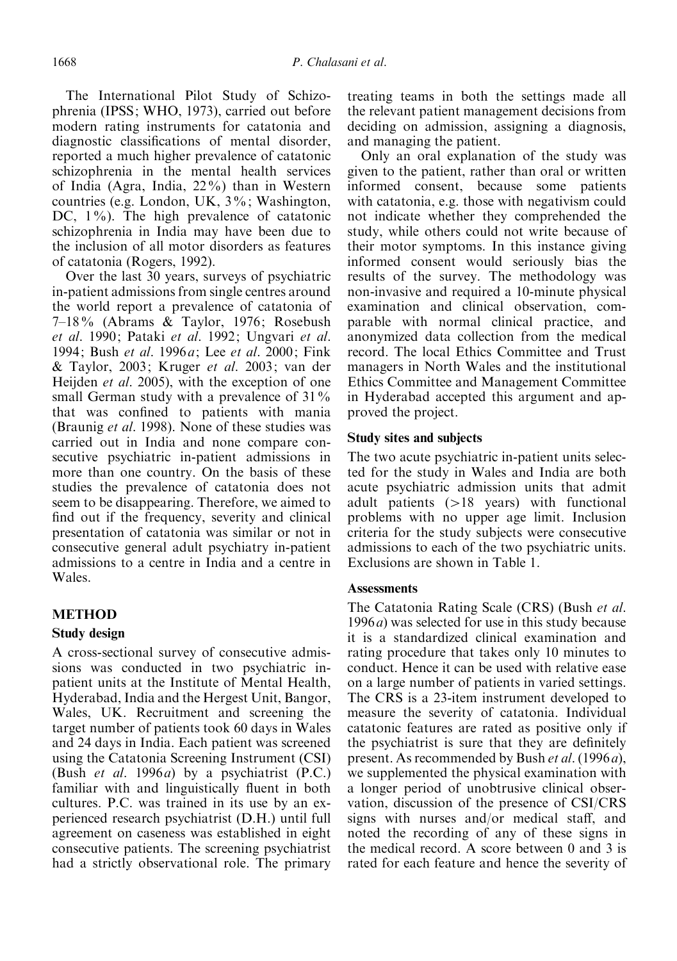The International Pilot Study of Schizophrenia (IPSS; WHO, 1973), carried out before modern rating instruments for catatonia and diagnostic classifications of mental disorder, reported a much higher prevalence of catatonic schizophrenia in the mental health services of India (Agra, India, 22%) than in Western countries (e.g. London, UK, 3%; Washington, DC,  $1\%$ ). The high prevalence of catatonic schizophrenia in India may have been due to the inclusion of all motor disorders as features of catatonia (Rogers, 1992).

Over the last 30 years, surveys of psychiatric in-patient admissions from single centres around the world report a prevalence of catatonia of 7–18% (Abrams & Taylor, 1976; Rosebush et al. 1990; Pataki et al. 1992; Ungvari et al. 1994; Bush et al. 1996a; Lee et al. 2000; Fink & Taylor, 2003; Kruger et al. 2003; van der Heijden *et al.* 2005), with the exception of one small German study with a prevalence of 31% that was confined to patients with mania (Braunig et al. 1998). None of these studies was carried out in India and none compare consecutive psychiatric in-patient admissions in more than one country. On the basis of these studies the prevalence of catatonia does not seem to be disappearing. Therefore, we aimed to find out if the frequency, severity and clinical presentation of catatonia was similar or not in consecutive general adult psychiatry in-patient admissions to a centre in India and a centre in Wales.

## METHOD

#### Study design

A cross-sectional survey of consecutive admissions was conducted in two psychiatric inpatient units at the Institute of Mental Health, Hyderabad, India and the Hergest Unit, Bangor, Wales, UK. Recruitment and screening the target number of patients took 60 days in Wales and 24 days in India. Each patient was screened using the Catatonia Screening Instrument (CSI) (Bush et al. 1996a) by a psychiatrist (P.C.) familiar with and linguistically fluent in both cultures. P.C. was trained in its use by an experienced research psychiatrist (D.H.) until full agreement on caseness was established in eight consecutive patients. The screening psychiatrist had a strictly observational role. The primary treating teams in both the settings made all the relevant patient management decisions from deciding on admission, assigning a diagnosis, and managing the patient.

Only an oral explanation of the study was given to the patient, rather than oral or written informed consent, because some patients with catatonia, e.g. those with negativism could not indicate whether they comprehended the study, while others could not write because of their motor symptoms. In this instance giving informed consent would seriously bias the results of the survey. The methodology was non-invasive and required a 10-minute physical examination and clinical observation, comparable with normal clinical practice, and anonymized data collection from the medical record. The local Ethics Committee and Trust managers in North Wales and the institutional Ethics Committee and Management Committee in Hyderabad accepted this argument and approved the project.

#### Study sites and subjects

The two acute psychiatric in-patient units selected for the study in Wales and India are both acute psychiatric admission units that admit adult patients (>18 years) with functional problems with no upper age limit. Inclusion criteria for the study subjects were consecutive admissions to each of the two psychiatric units. Exclusions are shown in Table 1.

#### **Assessments**

The Catatonia Rating Scale (CRS) (Bush et al.  $1996a$ ) was selected for use in this study because it is a standardized clinical examination and rating procedure that takes only 10 minutes to conduct. Hence it can be used with relative ease on a large number of patients in varied settings. The CRS is a 23-item instrument developed to measure the severity of catatonia. Individual catatonic features are rated as positive only if the psychiatrist is sure that they are definitely present. As recommended by Bush *et al.* (1996*a*), we supplemented the physical examination with a longer period of unobtrusive clinical observation, discussion of the presence of CSI/CRS signs with nurses and/or medical staff, and noted the recording of any of these signs in the medical record. A score between 0 and 3 is rated for each feature and hence the severity of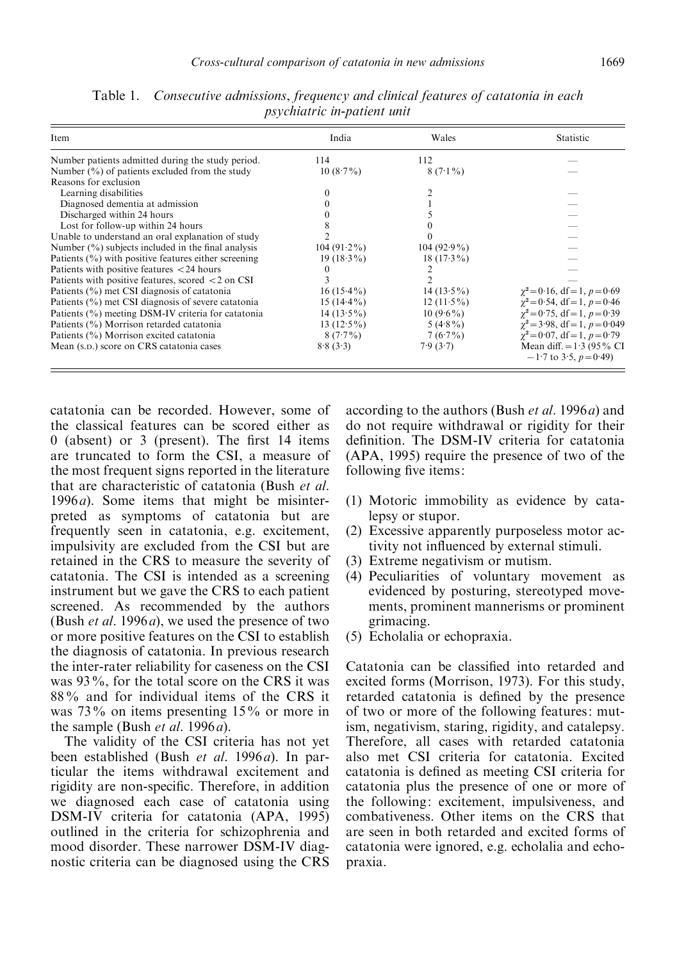| Item                                                                      | India         | Wales         | Statistic                                                 |
|---------------------------------------------------------------------------|---------------|---------------|-----------------------------------------------------------|
| Number patients admitted during the study period.                         | 114           | 112           |                                                           |
| Number $\left(\frac{0}{0}\right)$ of patients excluded from the study     | $10(8.7\%)$   | $8(7.1\%)$    |                                                           |
| Reasons for exclusion                                                     |               |               |                                                           |
| Learning disabilities                                                     |               |               |                                                           |
| Diagnosed dementia at admission                                           |               |               |                                                           |
| Discharged within 24 hours                                                |               |               |                                                           |
| Lost for follow-up within 24 hours                                        |               |               |                                                           |
| Unable to understand an oral explanation of study                         |               |               |                                                           |
| Number $\left(\frac{9}{0}\right)$ subjects included in the final analysis | $104(91.2\%)$ | $104(92.9\%)$ |                                                           |
| Patients $(\% )$ with positive features either screening                  | $19(18.3\%)$  | $18(17.3\%)$  |                                                           |
| Patients with positive features $<$ 24 hours                              | $_{0}$        |               |                                                           |
| Patients with positive features, scored $\langle 2 \rangle$ on CSI        |               |               |                                                           |
| Patients (%) met CSI diagnosis of catatonia                               | $16(15.4\%)$  | $14(13.5\%)$  | $\chi^2 = 0.16$ , df = 1, $p = 0.69$                      |
| Patients (%) met CSI diagnosis of severe catatonia                        | $15(14.4\%)$  | $12(11.5\%)$  | $\gamma^2 = 0.54$ , df = 1, p = 0.46                      |
| Patients (%) meeting DSM-IV criteria for catatonia                        | $14(13.5\%)$  | $10(9.6\%)$   | $\gamma^2 = 0.75$ , df = 1, p = 0.39                      |
| Patients (%) Morrison retarded catatonia                                  | 13 $(12.5\%)$ | $5(4.8\%)$    | $\gamma^2 = 3.98$ , df = 1, $p = 0.049$                   |
| Patients (%) Morrison excited catatonia                                   | $8(7.7\%)$    | $7(6.7\%)$    | $\gamma^2 = 0.07$ , df = 1, $p = 0.79$                    |
| Mean (s.p.) score on CRS catatonia cases                                  | 8.8(3.3)      | 7.9(3.7)      | Mean diff. $= 1.3$ (95% CI<br>$-1.7$ to 3.5, $p = 0.49$ ) |

Table 1. Consecutive admissions, frequency and clinical features of catatonia in each psychiatric in-patient unit

catatonia can be recorded. However, some of the classical features can be scored either as 0 (absent) or 3 (present). The first 14 items are truncated to form the CSI, a measure of the most frequent signs reported in the literature that are characteristic of catatonia (Bush et al. 1996 $a$ ). Some items that might be misinterpreted as symptoms of catatonia but are frequently seen in catatonia, e.g. excitement, impulsivity are excluded from the CSI but are retained in the CRS to measure the severity of catatonia. The CSI is intended as a screening instrument but we gave the CRS to each patient screened. As recommended by the authors (Bush *et al.* 1996*a*), we used the presence of two or more positive features on the CSI to establish the diagnosis of catatonia. In previous research the inter-rater reliability for caseness on the CSI was 93%, for the total score on the CRS it was 88% and for individual items of the CRS it was 73% on items presenting 15% or more in the sample (Bush *et al.* 1996*a*).

The validity of the CSI criteria has not yet been established (Bush et al. 1996a). In particular the items withdrawal excitement and rigidity are non-specific. Therefore, in addition we diagnosed each case of catatonia using DSM-IV criteria for catatonia (APA, 1995) outlined in the criteria for schizophrenia and mood disorder. These narrower DSM-IV diagnostic criteria can be diagnosed using the CRS according to the authors (Bush et al. 1996a) and do not require withdrawal or rigidity for their definition. The DSM-IV criteria for catatonia (APA, 1995) require the presence of two of the following five items:

- (1) Motoric immobility as evidence by catalepsy or stupor.
- (2) Excessive apparently purposeless motor activity not influenced by external stimuli.
- (3) Extreme negativism or mutism.
- (4) Peculiarities of voluntary movement as evidenced by posturing, stereotyped movements, prominent mannerisms or prominent grimacing.
- (5) Echolalia or echopraxia.

Catatonia can be classified into retarded and excited forms (Morrison, 1973). For this study, retarded catatonia is defined by the presence of two or more of the following features: mutism, negativism, staring, rigidity, and catalepsy. Therefore, all cases with retarded catatonia also met CSI criteria for catatonia. Excited catatonia is defined as meeting CSI criteria for catatonia plus the presence of one or more of the following: excitement, impulsiveness, and combativeness. Other items on the CRS that are seen in both retarded and excited forms of catatonia were ignored, e.g. echolalia and echopraxia.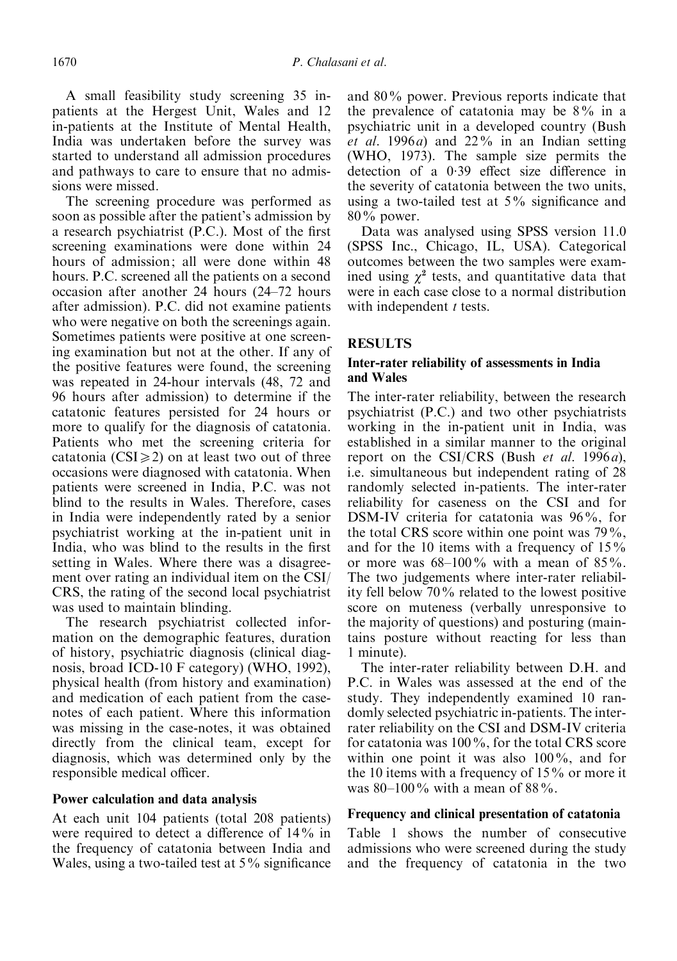A small feasibility study screening 35 inpatients at the Hergest Unit, Wales and 12 in-patients at the Institute of Mental Health, India was undertaken before the survey was started to understand all admission procedures and pathways to care to ensure that no admissions were missed.

The screening procedure was performed as soon as possible after the patient's admission by a research psychiatrist (P.C.). Most of the first screening examinations were done within 24 hours of admission; all were done within 48 hours. P.C. screened all the patients on a second occasion after another 24 hours (24–72 hours after admission). P.C. did not examine patients who were negative on both the screenings again. Sometimes patients were positive at one screening examination but not at the other. If any of the positive features were found, the screening was repeated in 24-hour intervals (48, 72 and 96 hours after admission) to determine if the catatonic features persisted for 24 hours or more to qualify for the diagnosis of catatonia. Patients who met the screening criteria for catatonia ( $CSI \ge 2$ ) on at least two out of three occasions were diagnosed with catatonia. When patients were screened in India, P.C. was not blind to the results in Wales. Therefore, cases in India were independently rated by a senior psychiatrist working at the in-patient unit in India, who was blind to the results in the first setting in Wales. Where there was a disagreement over rating an individual item on the CSI/ CRS, the rating of the second local psychiatrist was used to maintain blinding.

The research psychiatrist collected information on the demographic features, duration of history, psychiatric diagnosis (clinical diagnosis, broad ICD-10 F category) (WHO, 1992), physical health (from history and examination) and medication of each patient from the casenotes of each patient. Where this information was missing in the case-notes, it was obtained directly from the clinical team, except for diagnosis, which was determined only by the responsible medical officer.

## Power calculation and data analysis

At each unit 104 patients (total 208 patients) were required to detect a difference of 14% in the frequency of catatonia between India and Wales, using a two-tailed test at 5% significance and 80% power. Previous reports indicate that the prevalence of catatonia may be 8% in a psychiatric unit in a developed country (Bush et al. 1996a) and  $22\%$  in an Indian setting (WHO, 1973). The sample size permits the detection of a 0. 39 effect size difference in the severity of catatonia between the two units, using a two-tailed test at 5% significance and 80% power.

Data was analysed using SPSS version 11.0 (SPSS Inc., Chicago, IL, USA). Categorical outcomes between the two samples were examined using  $\chi^2$  tests, and quantitative data that were in each case close to a normal distribution with independent  $t$  tests.

## **RESULTS**

# Inter-rater reliability of assessments in India and Wales

The inter-rater reliability, between the research psychiatrist (P.C.) and two other psychiatrists working in the in-patient unit in India, was established in a similar manner to the original report on the CSI/CRS (Bush et al. 1996a), i.e. simultaneous but independent rating of 28 randomly selected in-patients. The inter-rater reliability for caseness on the CSI and for DSM-IV criteria for catatonia was 96%, for the total CRS score within one point was 79%, and for the 10 items with a frequency of  $15\%$ or more was  $68-100\%$  with a mean of  $85\%$ . The two judgements where inter-rater reliability fell below 70% related to the lowest positive score on muteness (verbally unresponsive to the majority of questions) and posturing (maintains posture without reacting for less than 1 minute).

The inter-rater reliability between D.H. and P.C. in Wales was assessed at the end of the study. They independently examined 10 randomly selected psychiatric in-patients. The interrater reliability on the CSI and DSM-IV criteria for catatonia was 100%, for the total CRS score within one point it was also 100%, and for the 10 items with a frequency of 15% or more it was 80–100% with a mean of 88%.

## Frequency and clinical presentation of catatonia

Table 1 shows the number of consecutive admissions who were screened during the study and the frequency of catatonia in the two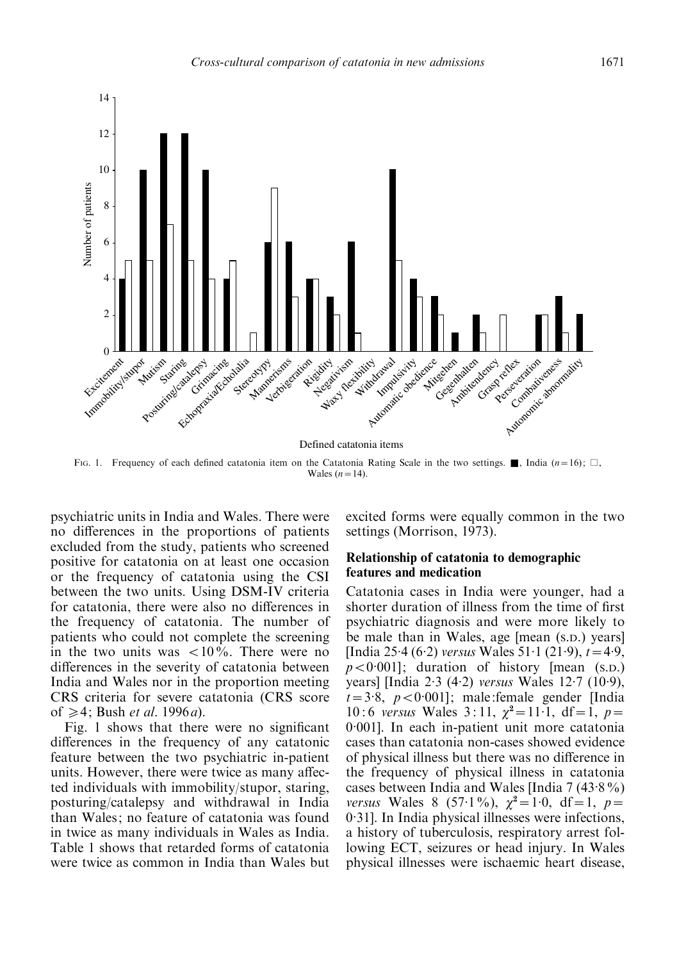

FIG. 1. Frequency of each defined catatonia item on the Catatonia Rating Scale in the two settings. **A**, India  $(n=16)$ ;  $\Box$ , Wales  $(n=14)$ .

psychiatric units in India and Wales. There were no differences in the proportions of patients excluded from the study, patients who screened positive for catatonia on at least one occasion or the frequency of catatonia using the CSI between the two units. Using DSM-IV criteria for catatonia, there were also no differences in the frequency of catatonia. The number of patients who could not complete the screening in the two units was  $\langle 10\% \rangle$ . There were no differences in the severity of catatonia between India and Wales nor in the proportion meeting CRS criteria for severe catatonia (CRS score of  $\geq 4$ ; Bush *et al.* 1996*a*).

Fig. 1 shows that there were no significant differences in the frequency of any catatonic feature between the two psychiatric in-patient units. However, there were twice as many affected individuals with immobility/stupor, staring, posturing/catalepsy and withdrawal in India than Wales; no feature of catatonia was found in twice as many individuals in Wales as India. Table 1 shows that retarded forms of catatonia were twice as common in India than Wales but

excited forms were equally common in the two settings (Morrison, 1973).

# Relationship of catatonia to demographic features and medication

Catatonia cases in India were younger, had a shorter duration of illness from the time of first psychiatric diagnosis and were more likely to be male than in Wales, age [mean (S.D.) years] [India 25.4 (6.2) versus Wales 51.1 (21.9),  $t=4.9$ ,  $p < 0.001$ ; duration of history [mean (s.p.) years] [India 2. 3 (4. 2) versus Wales 12. 7 (10. 9),  $t=3.8$ ,  $p < 0.001$ ]; male:female gender [India 10:6 versus Wales 3:11,  $\chi^2 = 11.1$ , df = 1, p = 0. 001]. In each in-patient unit more catatonia cases than catatonia non-cases showed evidence of physical illness but there was no difference in the frequency of physical illness in catatonia cases between India and Wales [India 7 (43. 8%) versus Wales 8 (57.1%),  $\chi^2 = 1.0$ , df = 1, p = 0.31]. In India physical illnesses were infections, a history of tuberculosis, respiratory arrest following ECT, seizures or head injury. In Wales physical illnesses were ischaemic heart disease,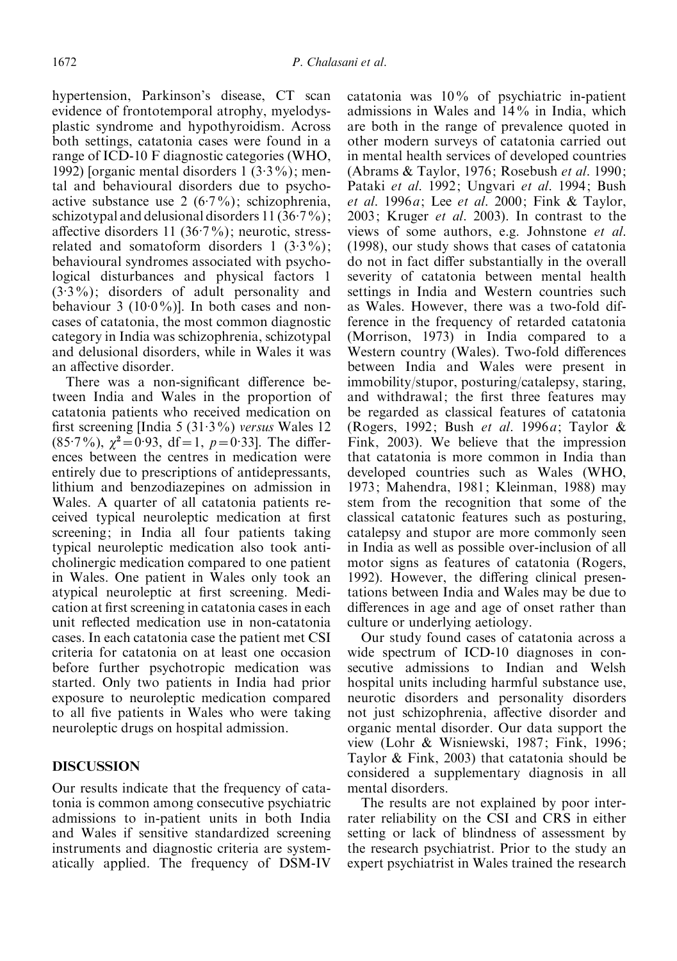hypertension, Parkinson's disease, CT scan evidence of frontotemporal atrophy, myelodysplastic syndrome and hypothyroidism. Across both settings, catatonia cases were found in a range of ICD-10 F diagnostic categories (WHO, 1992) [organic mental disorders 1 (3. 3%); mental and behavioural disorders due to psychoactive substance use 2 (6. 7%); schizophrenia, schizotypal and delusional disorders  $11(36.7%)$ ; affective disorders 11 (36.7%); neurotic, stressrelated and somatoform disorders  $1$  (3.3%); behavioural syndromes associated with psychological disturbances and physical factors 1 (3. 3%); disorders of adult personality and behaviour 3 (10.0%)]. In both cases and noncases of catatonia, the most common diagnostic category in India was schizophrenia, schizotypal and delusional disorders, while in Wales it was an affective disorder.

There was a non-significant difference between India and Wales in the proportion of catatonia patients who received medication on first screening [India 5 (31.3%) versus Wales 12  $(85.7\%)$ ,  $\chi^2 = 0.93$ , df = 1,  $p = 0.33$ . The differences between the centres in medication were entirely due to prescriptions of antidepressants, lithium and benzodiazepines on admission in Wales. A quarter of all catatonia patients received typical neuroleptic medication at first screening; in India all four patients taking typical neuroleptic medication also took anticholinergic medication compared to one patient in Wales. One patient in Wales only took an atypical neuroleptic at first screening. Medication at first screening in catatonia cases in each unit reflected medication use in non-catatonia cases. In each catatonia case the patient met CSI criteria for catatonia on at least one occasion before further psychotropic medication was started. Only two patients in India had prior exposure to neuroleptic medication compared to all five patients in Wales who were taking neuroleptic drugs on hospital admission.

## **DISCUSSION**

Our results indicate that the frequency of catatonia is common among consecutive psychiatric admissions to in-patient units in both India and Wales if sensitive standardized screening instruments and diagnostic criteria are systematically applied. The frequency of DSM-IV

catatonia was 10% of psychiatric in-patient admissions in Wales and 14% in India, which are both in the range of prevalence quoted in other modern surveys of catatonia carried out in mental health services of developed countries (Abrams & Taylor, 1976; Rosebush et al. 1990; Pataki et al. 1992; Ungvari et al. 1994; Bush et al. 1996 $a$ ; Lee et al. 2000; Fink  $\&$  Taylor, 2003; Kruger et al. 2003). In contrast to the views of some authors, e.g. Johnstone et al. (1998), our study shows that cases of catatonia do not in fact differ substantially in the overall severity of catatonia between mental health settings in India and Western countries such as Wales. However, there was a two-fold difference in the frequency of retarded catatonia (Morrison, 1973) in India compared to a Western country (Wales). Two-fold differences between India and Wales were present in immobility/stupor, posturing/catalepsy, staring, and withdrawal; the first three features may be regarded as classical features of catatonia (Rogers, 1992; Bush et al. 1996 $a$ ; Taylor & Fink, 2003). We believe that the impression that catatonia is more common in India than developed countries such as Wales (WHO, 1973; Mahendra, 1981; Kleinman, 1988) may stem from the recognition that some of the classical catatonic features such as posturing, catalepsy and stupor are more commonly seen in India as well as possible over-inclusion of all motor signs as features of catatonia (Rogers, 1992). However, the differing clinical presentations between India and Wales may be due to differences in age and age of onset rather than culture or underlying aetiology.

Our study found cases of catatonia across a wide spectrum of ICD-10 diagnoses in consecutive admissions to Indian and Welsh hospital units including harmful substance use, neurotic disorders and personality disorders not just schizophrenia, affective disorder and organic mental disorder. Our data support the view (Lohr & Wisniewski, 1987; Fink, 1996; Taylor & Fink, 2003) that catatonia should be considered a supplementary diagnosis in all mental disorders.

The results are not explained by poor interrater reliability on the CSI and CRS in either setting or lack of blindness of assessment by the research psychiatrist. Prior to the study an expert psychiatrist in Wales trained the research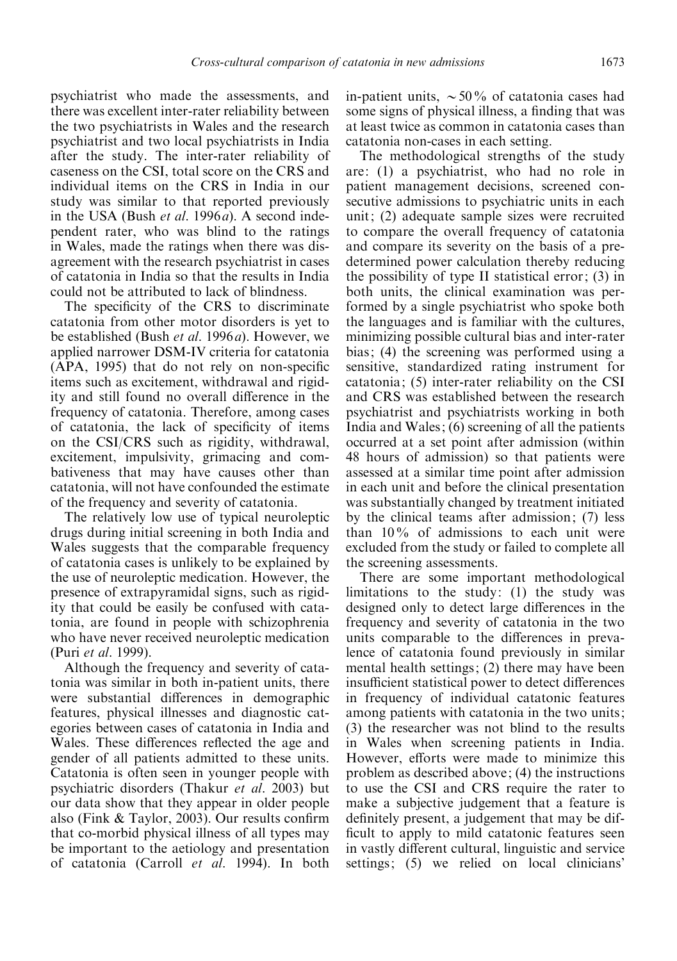psychiatrist who made the assessments, and there was excellent inter-rater reliability between the two psychiatrists in Wales and the research psychiatrist and two local psychiatrists in India after the study. The inter-rater reliability of caseness on the CSI, total score on the CRS and individual items on the CRS in India in our study was similar to that reported previously in the USA (Bush et al. 1996a). A second independent rater, who was blind to the ratings in Wales, made the ratings when there was disagreement with the research psychiatrist in cases of catatonia in India so that the results in India could not be attributed to lack of blindness.

The specificity of the CRS to discriminate catatonia from other motor disorders is yet to be established (Bush et al. 1996a). However, we applied narrower DSM-IV criteria for catatonia (APA, 1995) that do not rely on non-specific items such as excitement, withdrawal and rigidity and still found no overall difference in the frequency of catatonia. Therefore, among cases of catatonia, the lack of specificity of items on the CSI/CRS such as rigidity, withdrawal, excitement, impulsivity, grimacing and combativeness that may have causes other than catatonia, will not have confounded the estimate of the frequency and severity of catatonia.

The relatively low use of typical neuroleptic drugs during initial screening in both India and Wales suggests that the comparable frequency of catatonia cases is unlikely to be explained by the use of neuroleptic medication. However, the presence of extrapyramidal signs, such as rigidity that could be easily be confused with catatonia, are found in people with schizophrenia who have never received neuroleptic medication (Puri et al. 1999).

Although the frequency and severity of catatonia was similar in both in-patient units, there were substantial differences in demographic features, physical illnesses and diagnostic categories between cases of catatonia in India and Wales. These differences reflected the age and gender of all patients admitted to these units. Catatonia is often seen in younger people with psychiatric disorders (Thakur et al. 2003) but our data show that they appear in older people also (Fink & Taylor, 2003). Our results confirm that co-morbid physical illness of all types may be important to the aetiology and presentation of catatonia (Carroll et al. 1994). In both

in-patient units,  $\sim 50\%$  of catatonia cases had some signs of physical illness, a finding that was at least twice as common in catatonia cases than catatonia non-cases in each setting.

The methodological strengths of the study are: (1) a psychiatrist, who had no role in patient management decisions, screened consecutive admissions to psychiatric units in each unit; (2) adequate sample sizes were recruited to compare the overall frequency of catatonia and compare its severity on the basis of a predetermined power calculation thereby reducing the possibility of type II statistical error; (3) in both units, the clinical examination was performed by a single psychiatrist who spoke both the languages and is familiar with the cultures, minimizing possible cultural bias and inter-rater bias; (4) the screening was performed using a sensitive, standardized rating instrument for catatonia; (5) inter-rater reliability on the CSI and CRS was established between the research psychiatrist and psychiatrists working in both India and Wales; (6) screening of all the patients occurred at a set point after admission (within 48 hours of admission) so that patients were assessed at a similar time point after admission in each unit and before the clinical presentation was substantially changed by treatment initiated by the clinical teams after admission; (7) less than 10% of admissions to each unit were excluded from the study or failed to complete all the screening assessments.

There are some important methodological limitations to the study: (1) the study was designed only to detect large differences in the frequency and severity of catatonia in the two units comparable to the differences in prevalence of catatonia found previously in similar mental health settings; (2) there may have been insufficient statistical power to detect differences in frequency of individual catatonic features among patients with catatonia in the two units; (3) the researcher was not blind to the results in Wales when screening patients in India. However, efforts were made to minimize this problem as described above; (4) the instructions to use the CSI and CRS require the rater to make a subjective judgement that a feature is definitely present, a judgement that may be difficult to apply to mild catatonic features seen in vastly different cultural, linguistic and service settings; (5) we relied on local clinicians'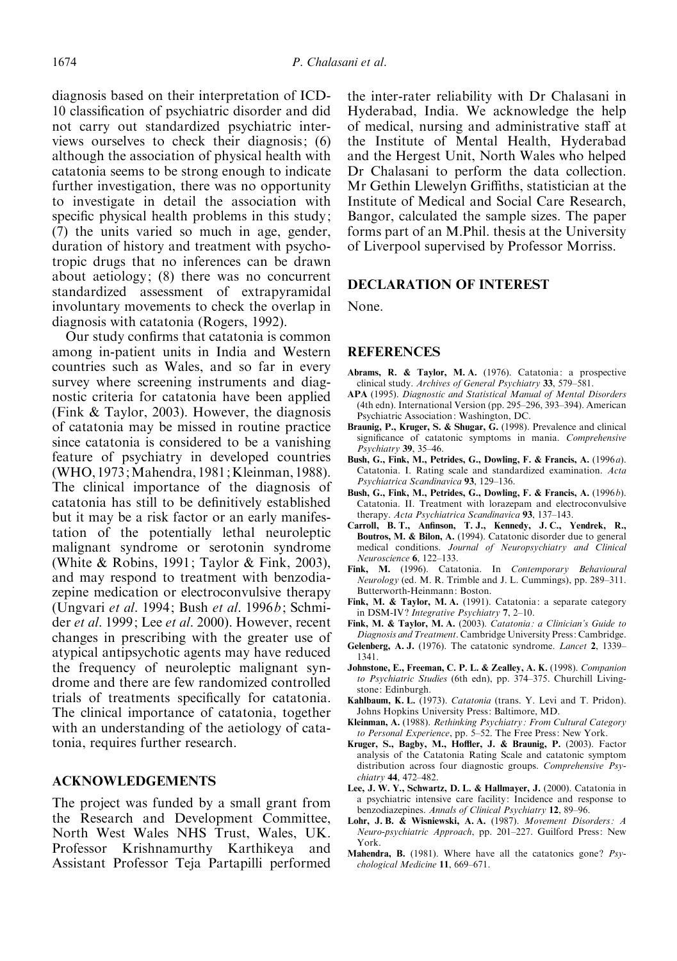diagnosis based on their interpretation of ICD-10 classification of psychiatric disorder and did not carry out standardized psychiatric interviews ourselves to check their diagnosis; (6) although the association of physical health with catatonia seems to be strong enough to indicate further investigation, there was no opportunity to investigate in detail the association with specific physical health problems in this study; (7) the units varied so much in age, gender, duration of history and treatment with psychotropic drugs that no inferences can be drawn about aetiology; (8) there was no concurrent standardized assessment of extrapyramidal involuntary movements to check the overlap in diagnosis with catatonia (Rogers, 1992).

Our study confirms that catatonia is common among in-patient units in India and Western countries such as Wales, and so far in every survey where screening instruments and diagnostic criteria for catatonia have been applied (Fink & Taylor, 2003). However, the diagnosis of catatonia may be missed in routine practice since catatonia is considered to be a vanishing feature of psychiatry in developed countries (WHO, 1973; Mahendra, 1981; Kleinman, 1988). The clinical importance of the diagnosis of catatonia has still to be definitively established but it may be a risk factor or an early manifestation of the potentially lethal neuroleptic malignant syndrome or serotonin syndrome (White & Robins, 1991; Taylor & Fink, 2003), and may respond to treatment with benzodiazepine medication or electroconvulsive therapy (Ungvari et al. 1994; Bush et al. 1996b; Schmider et al. 1999; Lee et al. 2000). However, recent changes in prescribing with the greater use of atypical antipsychotic agents may have reduced the frequency of neuroleptic malignant syndrome and there are few randomized controlled trials of treatments specifically for catatonia. The clinical importance of catatonia, together with an understanding of the aetiology of catatonia, requires further research.

## ACKNOWLEDGEMENTS

The project was funded by a small grant from the Research and Development Committee, North West Wales NHS Trust, Wales, UK. Professor Krishnamurthy Karthikeya and Assistant Professor Teja Partapilli performed the inter-rater reliability with Dr Chalasani in Hyderabad, India. We acknowledge the help of medical, nursing and administrative staff at the Institute of Mental Health, Hyderabad and the Hergest Unit, North Wales who helped Dr Chalasani to perform the data collection. Mr Gethin Llewelyn Griffiths, statistician at the Institute of Medical and Social Care Research, Bangor, calculated the sample sizes. The paper forms part of an M.Phil. thesis at the University of Liverpool supervised by Professor Morriss.

## DECLARATION OF INTEREST

None.

#### **REFERENCES**

- Abrams, R. & Taylor, M. A. (1976). Catatonia: a prospective clinical study. Archives of General Psychiatry 33, 579–581.
- APA (1995). Diagnostic and Statistical Manual of Mental Disorders (4th edn). International Version (pp. 295–296, 393–394). American Psychiatric Association: Washington, DC.
- Braunig, P., Kruger, S. & Shugar, G. (1998). Prevalence and clinical significance of catatonic symptoms in mania. Comprehensive Psychiatry 39, 35–46.
- Bush, G., Fink, M., Petrides, G., Dowling, F. & Francis, A. (1996a). Catatonia. I. Rating scale and standardized examination. Acta Psychiatrica Scandinavica 93, 129–136.
- Bush, G., Fink, M., Petrides, G., Dowling, F. & Francis, A. (1996b). Catatonia. II. Treatment with lorazepam and electroconvulsive therapy. Acta Psychiatrica Scandinavica 93, 137-143.
- Carroll, B. T., Anfinson, T. J., Kennedy, J. C., Yendrek, R., Boutros, M. & Bilon, A. (1994). Catatonic disorder due to general medical conditions. Journal of Neuropsychiatry and Clinical Neuroscience 6, 122–133.
- Fink, M. (1996). Catatonia. In Contemporary Behavioural Neurology (ed. M. R. Trimble and J. L. Cummings), pp. 289–311. Butterworth-Heinmann: Boston.
- Fink, M. & Taylor, M. A. (1991). Catatonia: a separate category in DSM-IV? Integrative Psychiatry 7, 2-10.
- Fink, M. & Taylor, M. A. (2003). Catatonia: a Clinician's Guide to Diagnosis and Treatment. Cambridge University Press: Cambridge.
- Gelenberg, A. J. (1976). The catatonic syndrome. Lancet 2, 1339– 1341.
- Johnstone, E., Freeman, C. P. L. & Zealley, A. K. (1998). Companion to Psychiatric Studies (6th edn), pp. 374–375. Churchill Livingstone: Edinburgh.
- Kahlbaum, K. L. (1973). Catatonia (trans. Y. Levi and T. Pridon). Johns Hopkins University Press: Baltimore, MD.
- Kleinman, A. (1988). Rethinking Psychiatry : From Cultural Category to Personal Experience, pp. 5–52. The Free Press: New York.
- Kruger, S., Bagby, M., Hoffler, J. & Braunig, P. (2003). Factor analysis of the Catatonia Rating Scale and catatonic symptom distribution across four diagnostic groups. Comprehensive Psychiatry 44, 472–482.
- Lee, J. W. Y., Schwartz, D. L. & Hallmayer, J. (2000). Catatonia in a psychiatric intensive care facility: Incidence and response to benzodiazepines. Annals of Clinical Psychiatry 12, 89–96.
- Lohr, J. B. & Wisniewski, A. A. (1987). Movement Disorders: A Neuro-psychiatric Approach, pp. 201–227. Guilford Press: New York.
- Mahendra, B. (1981). Where have all the catatonics gone?  $Psy$ chological Medicine 11, 669–671.